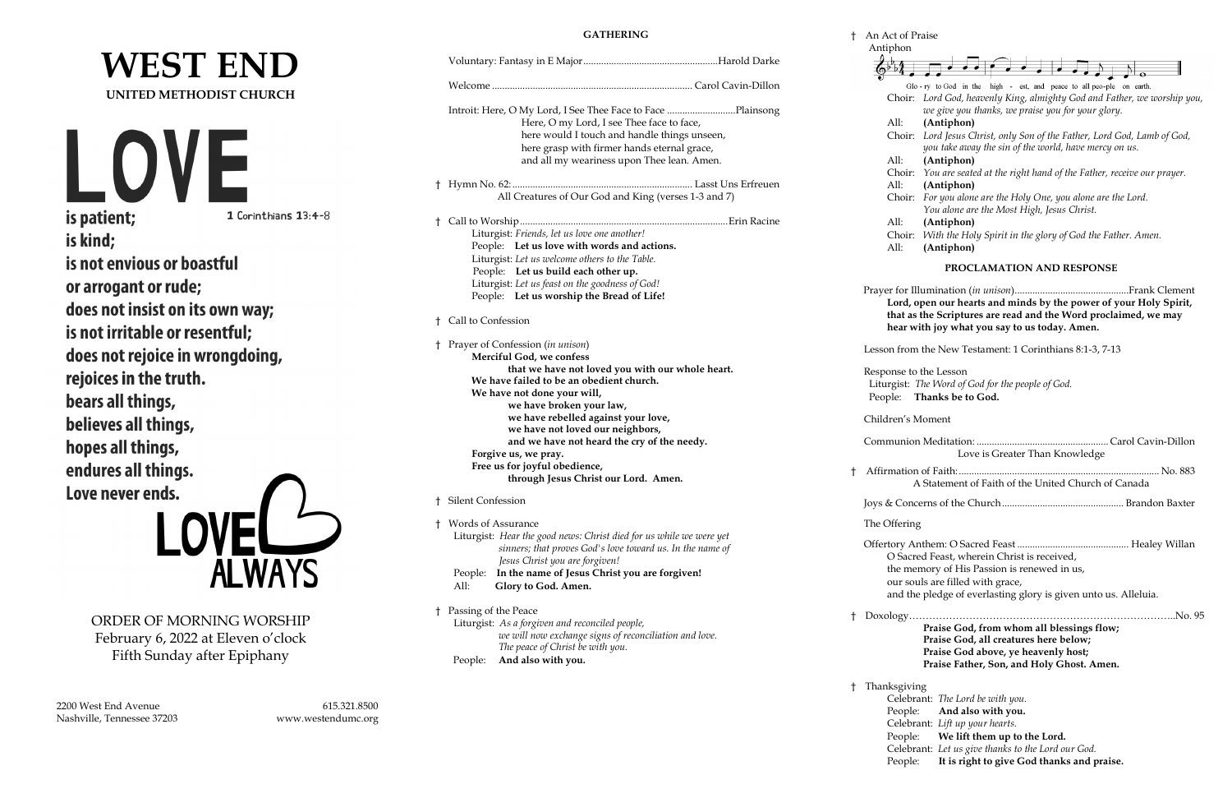## **WEST END UNITED METHODIST CHURCH**

is patient;

1 Corinthians 13:4-8

is kind; is not envious or boastful or arrogant or rude; does not insist on its own way; is not irritable or resentful; does not rejoice in wrongdoing, rejoices in the truth. bears all things, believes all things, hopes all things, endures all things. Love never ends.



ORDER OF MORNING WORSHIP February 6, 2022 at Eleven o'clock Fifth Sunday after Epiphany

2200 West End Avenue 615.321.8500 Nashville, Tennessee 37203 www.westendumc.org

#### **GATHERING**

|                                                                                                                                  |    | Antipho     |
|----------------------------------------------------------------------------------------------------------------------------------|----|-------------|
|                                                                                                                                  |    |             |
|                                                                                                                                  |    |             |
|                                                                                                                                  |    | Chc         |
|                                                                                                                                  |    |             |
| Here, O my Lord, I see Thee face to face,                                                                                        |    | All:        |
| here would I touch and handle things unseen,                                                                                     |    | Chc         |
| here grasp with firmer hands eternal grace,                                                                                      |    |             |
| and all my weariness upon Thee lean. Amen.                                                                                       |    | All:        |
|                                                                                                                                  |    | Chc<br>All: |
| All Creatures of Our God and King (verses 1-3 and 7)                                                                             |    | Chc         |
|                                                                                                                                  |    |             |
|                                                                                                                                  |    | All:        |
| Liturgist: Friends, let us love one another!                                                                                     |    | Chc         |
| People: Let us love with words and actions.                                                                                      |    | All:        |
| Liturgist: Let us welcome others to the Table.                                                                                   |    |             |
| People: Let us build each other up.                                                                                              |    |             |
| Liturgist: Let us feast on the goodness of God!                                                                                  |    | Prayer fo   |
| People: Let us worship the Bread of Life!                                                                                        |    | Lor         |
| <sup>†</sup> Call to Confession                                                                                                  |    | that        |
|                                                                                                                                  |    | hea         |
| † Prayer of Confession (in unison)                                                                                               |    | Lesson fr   |
| Merciful God, we confess                                                                                                         |    |             |
| that we have not loved you with our whole heart.                                                                                 |    | Response    |
| We have failed to be an obedient church.<br>We have not done your will,                                                          |    | Liturgis    |
| we have broken your law,                                                                                                         |    | People:     |
| we have rebelled against your love,                                                                                              |    | Children    |
| we have not loved our neighbors,                                                                                                 |    |             |
| and we have not heard the cry of the needy.                                                                                      |    | Commur      |
| Forgive us, we pray.                                                                                                             |    |             |
| Free us for joyful obedience,                                                                                                    | t  | Affirmat    |
| through Jesus Christ our Lord. Amen.                                                                                             |    |             |
| <b>Silent Confession</b>                                                                                                         |    | Joys & Co   |
|                                                                                                                                  |    |             |
| † Words of Assurance                                                                                                             |    | The Offer   |
| Liturgist: Hear the good news: Christ died for us while we were yet<br>sinners; that proves God's love toward us. In the name of |    | Offertory   |
| Jesus Christ you are forgiven!                                                                                                   |    | O S         |
| In the name of Jesus Christ you are forgiven!<br>People:                                                                         |    | the         |
| All:<br>Glory to God. Amen.                                                                                                      |    | our         |
|                                                                                                                                  |    | and         |
| † Passing of the Peace                                                                                                           | Ť. | Doxolog     |
| Liturgist: As a forgiven and reconciled people,                                                                                  |    |             |
| we will now exchange signs of reconciliation and love.                                                                           |    |             |
| The peace of Christ be with you.                                                                                                 |    |             |

† Thanksgi Celebrant: *The Lord be with you.* Peo<sup>-</sup>

|  |  |  |  | An Act of Praise |
|--|--|--|--|------------------|
|--|--|--|--|------------------|

|                                           | Antiphon                                                                                                         |  |  |  |  |  |
|-------------------------------------------|------------------------------------------------------------------------------------------------------------------|--|--|--|--|--|
|                                           |                                                                                                                  |  |  |  |  |  |
|                                           |                                                                                                                  |  |  |  |  |  |
|                                           | Glo-ry to God in the high - est, and peace to all peo-ple on earth.                                              |  |  |  |  |  |
|                                           | Choir: Lord God, heavenly King, almighty God and Father, we worship you,                                         |  |  |  |  |  |
|                                           | we give you thanks, we praise you for your glory.<br>All:<br>(Antiphon)                                          |  |  |  |  |  |
|                                           | Lord Jesus Christ, only Son of the Father, Lord God, Lamb of God,<br>Choir:                                      |  |  |  |  |  |
|                                           | you take away the sin of the world, have mercy on us.                                                            |  |  |  |  |  |
|                                           | (Antiphon)<br>All:                                                                                               |  |  |  |  |  |
|                                           | Choir: You are seated at the right hand of the Father, receive our prayer.                                       |  |  |  |  |  |
|                                           | All:<br>(Antiphon)                                                                                               |  |  |  |  |  |
|                                           | Choir: For you alone are the Holy One, you alone are the Lord.                                                   |  |  |  |  |  |
|                                           | You alone are the Most High, Jesus Christ.                                                                       |  |  |  |  |  |
|                                           | (Antiphon)<br>All:                                                                                               |  |  |  |  |  |
|                                           | Choir: With the Holy Spirit in the glory of God the Father. Amen.                                                |  |  |  |  |  |
|                                           | All:<br>(Antiphon)                                                                                               |  |  |  |  |  |
|                                           | <b>PROCLAMATION AND RESPONSE</b>                                                                                 |  |  |  |  |  |
|                                           |                                                                                                                  |  |  |  |  |  |
|                                           |                                                                                                                  |  |  |  |  |  |
|                                           | Lord, open our hearts and minds by the power of your Holy Spirit,                                                |  |  |  |  |  |
|                                           | that as the Scriptures are read and the Word proclaimed, we may<br>hear with joy what you say to us today. Amen. |  |  |  |  |  |
|                                           |                                                                                                                  |  |  |  |  |  |
|                                           | Lesson from the New Testament: 1 Corinthians 8:1-3, 7-13                                                         |  |  |  |  |  |
|                                           |                                                                                                                  |  |  |  |  |  |
|                                           | Response to the Lesson                                                                                           |  |  |  |  |  |
|                                           | Liturgist: The Word of God for the people of God.<br>Thanks be to God.<br>People:                                |  |  |  |  |  |
|                                           |                                                                                                                  |  |  |  |  |  |
|                                           | Children's Moment                                                                                                |  |  |  |  |  |
|                                           |                                                                                                                  |  |  |  |  |  |
|                                           | Love is Greater Than Knowledge                                                                                   |  |  |  |  |  |
|                                           |                                                                                                                  |  |  |  |  |  |
| t                                         |                                                                                                                  |  |  |  |  |  |
|                                           | A Statement of Faith of the United Church of Canada                                                              |  |  |  |  |  |
|                                           |                                                                                                                  |  |  |  |  |  |
|                                           |                                                                                                                  |  |  |  |  |  |
|                                           | The Offering                                                                                                     |  |  |  |  |  |
|                                           |                                                                                                                  |  |  |  |  |  |
|                                           | O Sacred Feast, wherein Christ is received,                                                                      |  |  |  |  |  |
|                                           | the memory of His Passion is renewed in us,                                                                      |  |  |  |  |  |
|                                           | our souls are filled with grace,                                                                                 |  |  |  |  |  |
|                                           | and the pledge of everlasting glory is given unto us. Alleluia.                                                  |  |  |  |  |  |
| t.                                        |                                                                                                                  |  |  |  |  |  |
| Praise God, from whom all blessings flow; |                                                                                                                  |  |  |  |  |  |
|                                           | Praise God, all creatures here below;                                                                            |  |  |  |  |  |
| Praise God above, ye heavenly host;       |                                                                                                                  |  |  |  |  |  |
|                                           | Praise Father, Son, and Holy Ghost. Amen.                                                                        |  |  |  |  |  |
| t                                         | Thanksgiving                                                                                                     |  |  |  |  |  |
|                                           | Celebrant: The Lord be with you.                                                                                 |  |  |  |  |  |
|                                           | And also with you.<br>People:                                                                                    |  |  |  |  |  |
|                                           | Celebrant: Lift up your hearts.                                                                                  |  |  |  |  |  |

People: **And also with you.**

- People: **We lift them up to the Lord.**
- Celebrant: *Let us give thanks to the Lord our God.*
- People: **It is right to give God thanks and praise.**